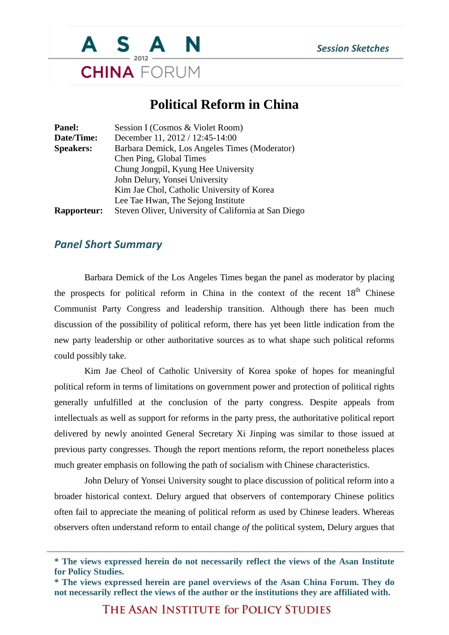

## **Political Reform in China**

| Session I (Cosmos & Violet Room)                     |
|------------------------------------------------------|
| December 11, 2012 / 12:45-14:00                      |
| Barbara Demick, Los Angeles Times (Moderator)        |
| Chen Ping, Global Times                              |
| Chung Jongpil, Kyung Hee University                  |
| John Delury, Yonsei University                       |
| Kim Jae Chol, Catholic University of Korea           |
| Lee Tae Hwan, The Sejong Institute                   |
| Steven Oliver, University of California at San Diego |
|                                                      |

## *Panel Short Summary*

Barbara Demick of the Los Angeles Times began the panel as moderator by placing the prospects for political reform in China in the context of the recent  $18<sup>th</sup>$  Chinese Communist Party Congress and leadership transition. Although there has been much discussion of the possibility of political reform, there has yet been little indication from the new party leadership or other authoritative sources as to what shape such political reforms could possibly take.

Kim Jae Cheol of Catholic University of Korea spoke of hopes for meaningful political reform in terms of limitations on government power and protection of political rights generally unfulfilled at the conclusion of the party congress. Despite appeals from intellectuals as well as support for reforms in the party press, the authoritative political report delivered by newly anointed General Secretary Xi Jinping was similar to those issued at previous party congresses. Though the report mentions reform, the report nonetheless places much greater emphasis on following the path of socialism with Chinese characteristics.

John Delury of Yonsei University sought to place discussion of political reform into a broader historical context. Delury argued that observers of contemporary Chinese politics often fail to appreciate the meaning of political reform as used by Chinese leaders. Whereas observers often understand reform to entail change *of* the political system, Delury argues that

THE ASAN INSTITUTE for POLICY STUDIES

**<sup>\*</sup> The views expressed herein do not necessarily reflect the views of the Asan Institute for Policy Studies.**

**<sup>\*</sup> The views expressed herein are panel overviews of the Asan China Forum. They do not necessarily reflect the views of the author or the institutions they are affiliated with.**